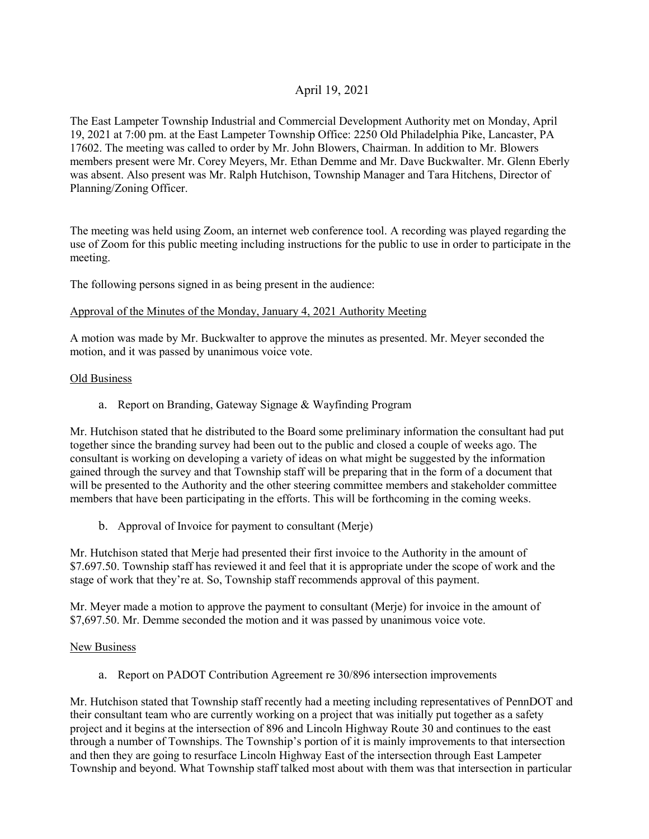# April 19, 2021

The East Lampeter Township Industrial and Commercial Development Authority met on Monday, April 19, 2021 at 7:00 pm. at the East Lampeter Township Office: 2250 Old Philadelphia Pike, Lancaster, PA 17602. The meeting was called to order by Mr. John Blowers, Chairman. In addition to Mr. Blowers members present were Mr. Corey Meyers, Mr. Ethan Demme and Mr. Dave Buckwalter. Mr. Glenn Eberly was absent. Also present was Mr. Ralph Hutchison, Township Manager and Tara Hitchens, Director of Planning/Zoning Officer.

The meeting was held using Zoom, an internet web conference tool. A recording was played regarding the use of Zoom for this public meeting including instructions for the public to use in order to participate in the meeting.

The following persons signed in as being present in the audience:

## Approval of the Minutes of the Monday, January 4, 2021 Authority Meeting

A motion was made by Mr. Buckwalter to approve the minutes as presented. Mr. Meyer seconded the motion, and it was passed by unanimous voice vote.

## Old Business

a. Report on Branding, Gateway Signage & Wayfinding Program

Mr. Hutchison stated that he distributed to the Board some preliminary information the consultant had put together since the branding survey had been out to the public and closed a couple of weeks ago. The consultant is working on developing a variety of ideas on what might be suggested by the information gained through the survey and that Township staff will be preparing that in the form of a document that will be presented to the Authority and the other steering committee members and stakeholder committee members that have been participating in the efforts. This will be forthcoming in the coming weeks.

b. Approval of Invoice for payment to consultant (Merje)

Mr. Hutchison stated that Merje had presented their first invoice to the Authority in the amount of \$7.697.50. Township staff has reviewed it and feel that it is appropriate under the scope of work and the stage of work that they're at. So, Township staff recommends approval of this payment.

Mr. Meyer made a motion to approve the payment to consultant (Merje) for invoice in the amount of \$7,697.50. Mr. Demme seconded the motion and it was passed by unanimous voice vote.

## New Business

a. Report on PADOT Contribution Agreement re 30/896 intersection improvements

Mr. Hutchison stated that Township staff recently had a meeting including representatives of PennDOT and their consultant team who are currently working on a project that was initially put together as a safety project and it begins at the intersection of 896 and Lincoln Highway Route 30 and continues to the east through a number of Townships. The Township's portion of it is mainly improvements to that intersection and then they are going to resurface Lincoln Highway East of the intersection through East Lampeter Township and beyond. What Township staff talked most about with them was that intersection in particular